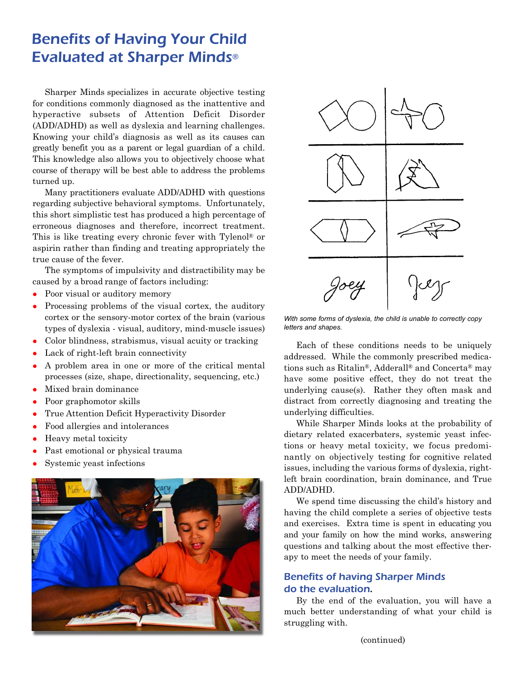## Benefits of Having Your Child Evaluated at Sharper Minds®

Sharper Minds specializes in accurate objective testing for conditions commonly diagnosed as the inattentive and hyperactive subsets of Attention Deficit Disorder (ADD/ADHD) as well as dyslexia and learning challenges. Knowing your child's diagnosis as well as its causes can greatly benefit you as a parent or legal guardian of a child. This knowledge also allows you to objectively choose what course of therapy will be best able to address the problems turned up.

Many practitioners evaluate ADD/ADHD with questions regarding subjective behavioral symptoms. Unfortunately, this short simplistic test has produced a high percentage of erroneous diagnoses and therefore, incorrect treatment. This is like treating every chronic fever with Tylenol® or aspirin rather than finding and treating appropriately the true cause of the fever.

The symptoms of impulsivity and distractibility may be caused by a broad range of factors including:

- Poor visual or auditory memory
- Processing problems of the visual cortex, the auditory cortex or the sensory-motor cortex of the brain (various types of dyslexia - visual, auditory, mind-muscle issues)
- Color blindness, strabismus, visual acuity or tracking
- Lack of right-left brain connectivity
- <sup>z</sup> A problem area in one or more of the critical mental processes (size, shape, directionality, sequencing, etc.)
- Mixed brain dominance
- Poor graphomotor skills
- True Attention Deficit Hyperactivity Disorder
- Food allergies and intolerances
- Heavy metal toxicity
- Past emotional or physical trauma
- Systemic yeast infections





*With some forms of dyslexia, the child is unable to correctly copy letters and shapes.*

Each of these conditions needs to be uniquely addressed. While the commonly prescribed medications such as Ritalin®, Adderall® and Concerta® may have some positive effect, they do not treat the underlying cause(s). Rather they often mask and distract from correctly diagnosing and treating the underlying difficulties.

While Sharper Minds looks at the probability of dietary related exacerbaters, systemic yeast infections or heavy metal toxicity, we focus predominantly on objectively testing for cognitive related issues, including the various forms of dyslexia, rightleft brain coordination, brain dominance, and True ADD/ADHD.

We spend time discussing the child's history and having the child complete a series of objective tests and exercises. Extra time is spent in educating you and your family on how the mind works, answering questions and talking about the most effective therapy to meet the needs of your family.

## Benefits of having Sharper Minds do the evaluation.

By the end of the evaluation, you will have a much better understanding of what your child is struggling with.

(continued)